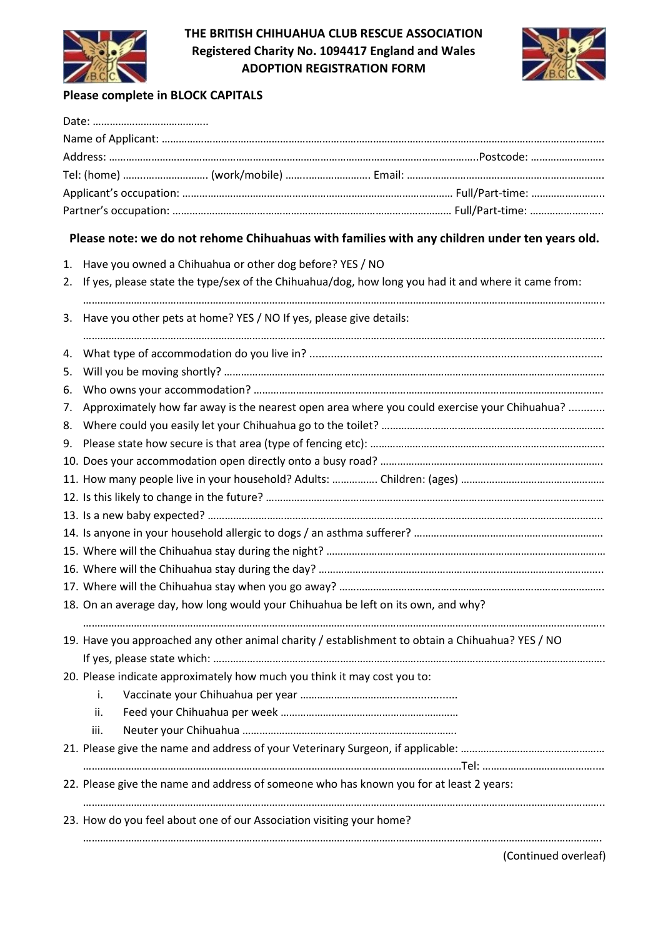

THE BRITISH CHIHUAHUA CLUB RESCUE ASSOCIATION Registered Charity No. 1094417 England and Wales ADOPTION REGISTRATION FORM



## Please complete in BLOCK CAPITALS

| Please note: we do not rehome Chihuahuas with families with any children under ten years old.             |
|-----------------------------------------------------------------------------------------------------------|
| Have you owned a Chihuahua or other dog before? YES / NO<br>1.                                            |
| If yes, please state the type/sex of the Chihuahua/dog, how long you had it and where it came from:<br>2. |
| 3. Have you other pets at home? YES / NO If yes, please give details:                                     |
| 4.                                                                                                        |
| 5.                                                                                                        |
| 6.                                                                                                        |
| Approximately how far away is the nearest open area where you could exercise your Chihuahua?<br>7.        |
| 8.                                                                                                        |
| 9.                                                                                                        |
|                                                                                                           |
|                                                                                                           |
|                                                                                                           |
|                                                                                                           |
|                                                                                                           |
|                                                                                                           |
|                                                                                                           |
|                                                                                                           |
| 18. On an average day, how long would your Chihuahua be left on its own, and why?                         |
| 19. Have you approached any other animal charity / establishment to obtain a Chihuahua? YES / NO          |
| 20. Please indicate approximately how much you think it may cost you to:                                  |
| j.                                                                                                        |
| ii.                                                                                                       |
| iii.                                                                                                      |
|                                                                                                           |
|                                                                                                           |
| 22. Please give the name and address of someone who has known you for at least 2 years:                   |
| 23. How do you feel about one of our Association visiting your home?                                      |
|                                                                                                           |

(Continued overleaf)